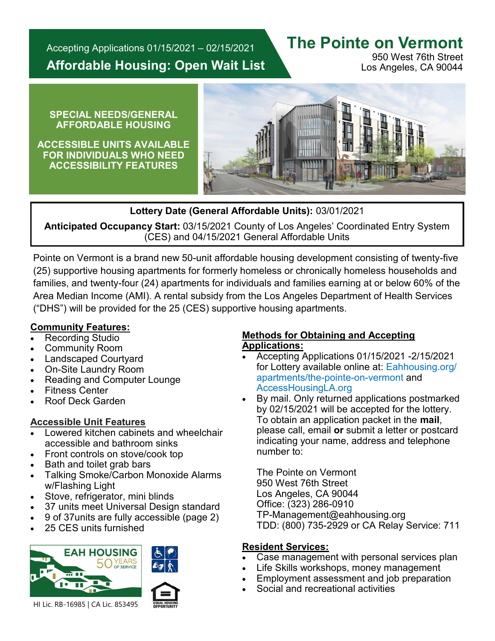Accepting Applications 01/15/2021 – 02/15/2021 **Affordable Housing: Open Wait List**

## **The Pointe on Vermont**

950 West 76th Street Los Angeles, CA 90044

#### **SPECIAL NEEDS/GENERAL AFFORDABLE HOUSING**

**ACCESSIBLE UNITS AVAILABLE FOR INDIVIDUALS WHO NEED ACCESSIBILITY FEATURES**



#### **Lottery Date (General Affordable Units):** 03/01/2021

**Anticipated Occupancy Start:** 03/15/2021 County of Los Angeles' Coordinated Entry System (CES) and 04/15/2021 General Affordable Units

Pointe on Vermont is a brand new 50-unit affordable housing development consisting of twenty-five (25) supportive housing apartments for formerly homeless or chronically homeless households and families, and twenty-four (24) apartments for individuals and families earning at or below 60% of the Area Median Income (AMI). A rental subsidy from the Los Angeles Department of Health Services ("DHS") will be provided for the 25 (CES) supportive housing apartments.

#### **Community Features:**

- Recording Studio
- Community Room
- Landscaped Courtyard
- On-Site Laundry Room
- Reading and Computer Lounge
- **Fitness Center**
- Roof Deck Garden

### **Accessible Unit Features**

- Lowered kitchen cabinets and wheelchair accessible and bathroom sinks
- Front controls on stove/cook top
- Bath and toilet grab bars
- Talking Smoke/Carbon Monoxide Alarms w/Flashing Light
- Stove, refrigerator, mini blinds
- 37 units meet Universal Design standard
- 9 of 37units are fully accessible (page 2)
- 25 CES units furnished



#### **Methods for Obtaining and Accepting Applications:**

- Accepting Applications 01/15/2021 -2/15/2021 for Lottery available online at: Eahhousing.org/ apartments/the-pointe-on-vermont and AccessHousingLA.org
- By mail. Only returned applications postmarked by 02/15/2021 will be accepted for the lottery. To obtain an application packet in the **mail**, please call, email **or** submit a letter or postcard indicating your name, address and telephone number to:

The Pointe on Vermont 950 West 76th Street Los Angeles, CA 90044 Office: (323) 286-0910 TP-Management@eahhousing.org TDD: (800) 735-2929 or CA Relay Service: 711

#### **Resident Services:**

- Case management with personal services plan
- Life Skills workshops, money management
- Employment assessment and job preparation
- Social and recreational activities